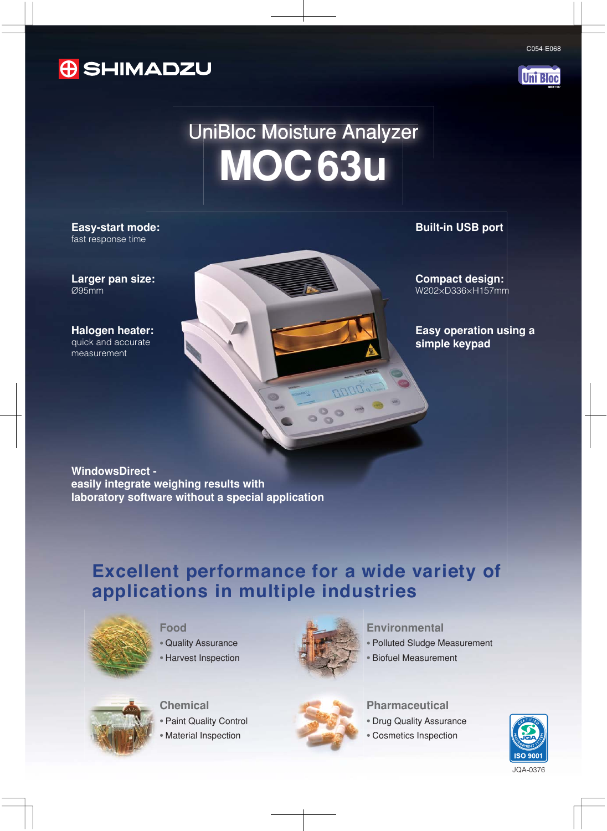



**Uni Bloc** 

# UniBloc Moisture Analyzer **MOC63u**

**Easy-start mode: Built-in USB port** fast response time

**Larger pan size:** Ø95mm

**Halogen heater:** quick and accurate measurement

**Compact design:** W202×D336×H157mm

**Easy operation using a simple keypad**

WindowsDirect -<br>easily integrate weighing results with<br>laboratory software without a special application<br>**Excellent performance for a wide variety of easily integrate weighing results with laboratory software without a special application**

# **applications in multiple industries**



**Food**

- . Quality Assurance
- . Harvest Inspection



**DOOF** 

 $\circ$   $\circ$ 

#### **Environmental**

- . Polluted Sludge Measurement
- . Biofuel Measurement



**Chemical** . Paint Quality Control

. Material Inspection



#### **Pharmaceutical**

- . Drug Quality Assurance
- . Cosmetics Inspection